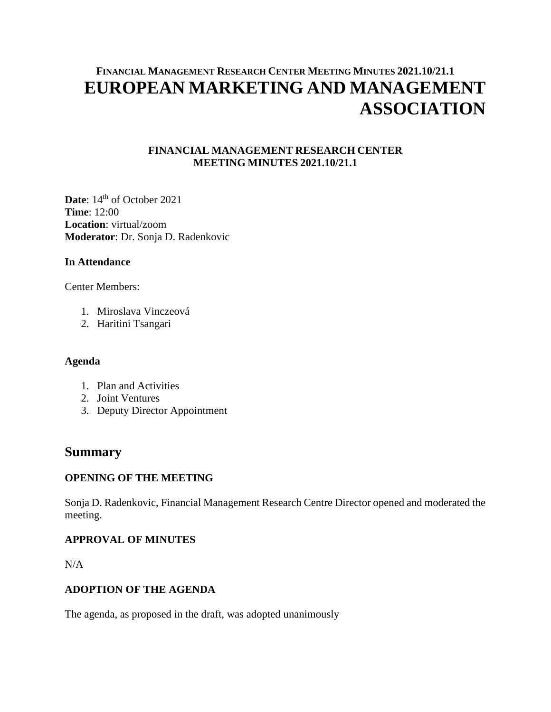# **FINANCIAL MANAGEMENT RESEARCH CENTER MEETING MINUTES 2021.10/21.1 EUROPEAN MARKETING AND MANAGEMENT ASSOCIATION**

## **FINANCIAL MANAGEMENT RESEARCH CENTER MEETING MINUTES 2021.10/21.1**

Date:  $14<sup>th</sup>$  of October 2021 **Time**: 12:00 **Location**: virtual/zoom **Moderator**: Dr. Sonja D. Radenkovic

## **In Attendance**

Center Members:

- 1. Miroslava Vinczeová
- 2. Haritini Tsangari

## **Agenda**

- 1. Plan and Activities
- 2. Joint Ventures
- 3. Deputy Director Appointment

## **Summary**

## **OPENING OF THE MEETING**

Sonja D. Radenkovic, Financial Management Research Centre Director opened and moderated the meeting.

## **APPROVAL OF MINUTES**

N/A

## **ADOPTION OF THE AGENDA**

The agenda, as proposed in the draft, was adopted unanimously